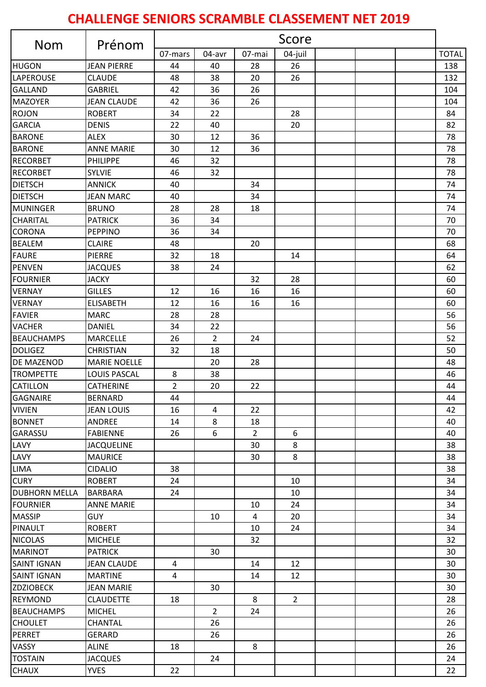## **CHALLENGE SENIORS SCRAMBLE CLASSEMENT NET 2019**

| <b>Nom</b>           | Prénom              | Score          |                |                |                |  |  |              |
|----------------------|---------------------|----------------|----------------|----------------|----------------|--|--|--------------|
|                      |                     | 07-mars        | 04-avr         | 07-mai         | 04-juil        |  |  | <b>TOTAL</b> |
| HUGON                | <b>JEAN PIERRE</b>  | 44             | 40             | 28             | 26             |  |  | 138          |
| <b>LAPEROUSE</b>     | <b>CLAUDE</b>       | 48             | 38             | 20             | 26             |  |  | 132          |
| <b>GALLAND</b>       | <b>GABRIEL</b>      | 42             | 36             | 26             |                |  |  | 104          |
| <b>MAZOYER</b>       | <b>JEAN CLAUDE</b>  | 42             | 36             | 26             |                |  |  | 104          |
| <b>ROJON</b>         | <b>ROBERT</b>       | 34             | 22             |                | 28             |  |  | 84           |
| <b>GARCIA</b>        | <b>DENIS</b>        | 22             | 40             |                | 20             |  |  | 82           |
| <b>BARONE</b>        | ALEX                | 30             | 12             | 36             |                |  |  | 78           |
| <b>BARONE</b>        | <b>ANNE MARIE</b>   | 30             | 12             | 36             |                |  |  | 78           |
| <b>RECORBET</b>      | <b>PHILIPPE</b>     | 46             | 32             |                |                |  |  | 78           |
| <b>RECORBET</b>      | <b>SYLVIE</b>       | 46             | 32             |                |                |  |  | 78           |
| <b>DIETSCH</b>       | <b>ANNICK</b>       | 40             |                | 34             |                |  |  | 74           |
| <b>DIETSCH</b>       | <b>JEAN MARC</b>    | 40             |                | 34             |                |  |  | 74           |
| <b>MUNINGER</b>      | <b>BRUNO</b>        | 28             | 28             | 18             |                |  |  | 74           |
| <b>CHARITAL</b>      | <b>PATRICK</b>      | 36             | 34             |                |                |  |  | 70           |
| <b>CORONA</b>        | <b>PEPPINO</b>      | 36             | 34             |                |                |  |  | 70           |
| <b>BEALEM</b>        | <b>CLAIRE</b>       | 48             |                | 20             |                |  |  | 68           |
| <b>FAURE</b>         | <b>PIERRE</b>       | 32             | 18             |                | 14             |  |  | 64           |
| <b>PENVEN</b>        | <b>JACQUES</b>      | 38             | 24             |                |                |  |  | 62           |
| <b>FOURNIER</b>      | <b>JACKY</b>        |                |                | 32             | 28             |  |  | 60           |
| <b>VERNAY</b>        | <b>GILLES</b>       | 12             | 16             | 16             | 16             |  |  | 60           |
| <b>VERNAY</b>        | <b>ELISABETH</b>    | 12             | 16             | 16             | 16             |  |  | 60           |
| <b>FAVIER</b>        | <b>MARC</b>         | 28             | 28             |                |                |  |  | 56           |
| <b>VACHER</b>        | <b>DANIEL</b>       | 34             | 22             |                |                |  |  | 56           |
| <b>BEAUCHAMPS</b>    | <b>MARCELLE</b>     | 26             | $\overline{2}$ | 24             |                |  |  | 52           |
| <b>DOLIGEZ</b>       | <b>CHRISTIAN</b>    | 32             | 18             |                |                |  |  | 50           |
| DE MAZENOD           | <b>MARIE NOELLE</b> |                | 20             | 28             |                |  |  | 48           |
| <b>TROMPETTE</b>     | <b>LOUIS PASCAL</b> | 8              | 38             |                |                |  |  | 46           |
| <b>CATILLON</b>      | <b>CATHERINE</b>    | $\overline{2}$ | 20             | 22             |                |  |  | 44           |
| <b>GAGNAIRE</b>      | <b>BERNARD</b>      | 44             |                |                |                |  |  | 44           |
| <b>VIVIEN</b>        | JEAN LOUIS          | 16             | 4              | 22             |                |  |  | 42           |
| <b>BONNET</b>        | ANDREE              | 14             | 8              | 18             |                |  |  | 40           |
| <b>GARASSU</b>       | <b>FABIENNE</b>     | 26             | 6              | $\overline{2}$ | 6              |  |  | 40           |
| LAVY                 | <b>JACQUELINE</b>   |                |                | 30             | 8              |  |  | 38           |
| LAVY                 | <b>MAURICE</b>      |                |                | 30             | 8              |  |  | 38           |
| <b>LIMA</b>          | <b>CIDALIO</b>      | 38             |                |                |                |  |  | 38           |
| <b>CURY</b>          | <b>ROBERT</b>       | 24             |                |                | 10             |  |  | 34           |
| <b>DUBHORN MELLA</b> | <b>BARBARA</b>      | 24             |                |                | 10             |  |  | 34           |
| <b>FOURNIER</b>      | <b>ANNE MARIE</b>   |                |                | 10             | 24             |  |  | 34           |
| <b>MASSIP</b>        | <b>GUY</b>          |                | 10             | $\overline{4}$ | 20             |  |  | 34           |
| PINAULT              | <b>ROBERT</b>       |                |                | 10             | 24             |  |  | 34           |
| <b>NICOLAS</b>       | <b>MICHELE</b>      |                |                | 32             |                |  |  | 32           |
| <b>MARINOT</b>       | <b>PATRICK</b>      |                | 30             |                |                |  |  | 30           |
| <b>SAINT IGNAN</b>   | <b>JEAN CLAUDE</b>  | 4              |                | 14             | 12             |  |  | 30           |
| <b>SAINT IGNAN</b>   | <b>MARTINE</b>      | 4              |                | 14             | 12             |  |  | 30           |
| <b>ZDZIOBECK</b>     | <b>JEAN MARIE</b>   |                | 30             |                |                |  |  | 30           |
| <b>REYMOND</b>       | <b>CLAUDETTE</b>    | 18             |                | 8              | $\overline{2}$ |  |  | 28           |
| <b>BEAUCHAMPS</b>    | <b>MICHEL</b>       |                | $\overline{2}$ | 24             |                |  |  | 26           |
| <b>CHOULET</b>       | CHANTAL             |                | 26             |                |                |  |  | 26           |
| <b>PERRET</b>        | <b>GERARD</b>       |                | 26             |                |                |  |  | 26           |
| <b>VASSY</b>         | ALINE               | 18             |                | 8              |                |  |  | 26           |
| <b>TOSTAIN</b>       | <b>JACQUES</b>      |                | 24             |                |                |  |  | 24           |
| <b>CHAUX</b>         | <b>YVES</b>         | 22             |                |                |                |  |  | 22           |
|                      |                     |                |                |                |                |  |  |              |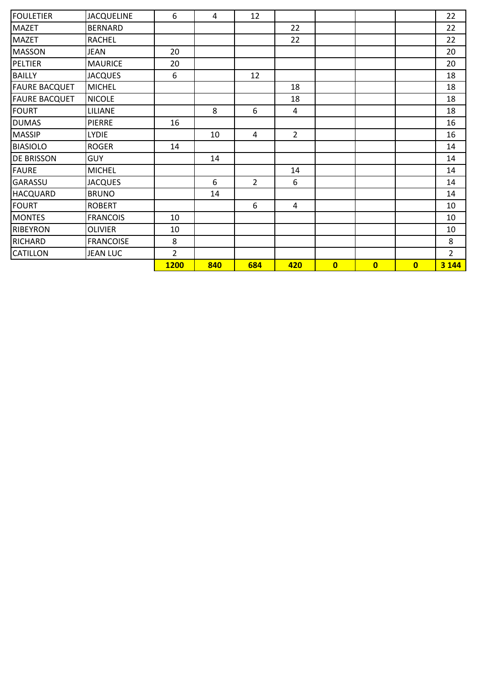| FOULETIER            | <b>JACQUELINE</b> | 6              | 4   | 12             |                |              |                         |              | 22             |
|----------------------|-------------------|----------------|-----|----------------|----------------|--------------|-------------------------|--------------|----------------|
| <b>MAZET</b>         | <b>BERNARD</b>    |                |     |                | 22             |              |                         |              | 22             |
| <b>MAZET</b>         | <b>RACHEL</b>     |                |     |                | 22             |              |                         |              | 22             |
| <b>MASSON</b>        | <b>JEAN</b>       | 20             |     |                |                |              |                         |              | 20             |
| PELTIER              | <b>MAURICE</b>    | 20             |     |                |                |              |                         |              | 20             |
| <b>BAILLY</b>        | <b>JACQUES</b>    | 6              |     | 12             |                |              |                         |              | 18             |
| <b>FAURE BACQUET</b> | <b>MICHEL</b>     |                |     |                | 18             |              |                         |              | 18             |
| <b>FAURE BACQUET</b> | <b>NICOLE</b>     |                |     |                | 18             |              |                         |              | 18             |
| <b>FOURT</b>         | LILIANE           |                | 8   | 6              | 4              |              |                         |              | 18             |
| <b>DUMAS</b>         | <b>PIERRE</b>     | 16             |     |                |                |              |                         |              | 16             |
| <b>MASSIP</b>        | <b>LYDIE</b>      |                | 10  | 4              | $\overline{2}$ |              |                         |              | 16             |
| <b>BIASIOLO</b>      | <b>ROGER</b>      | 14             |     |                |                |              |                         |              | 14             |
| <b>DE BRISSON</b>    | <b>GUY</b>        |                | 14  |                |                |              |                         |              | 14             |
| <b>FAURE</b>         | <b>MICHEL</b>     |                |     |                | 14             |              |                         |              | 14             |
| <b>GARASSU</b>       | <b>JACQUES</b>    |                | 6   | $\overline{2}$ | 6              |              |                         |              | 14             |
| <b>HACQUARD</b>      | <b>BRUNO</b>      |                | 14  |                |                |              |                         |              | 14             |
| <b>FOURT</b>         | <b>ROBERT</b>     |                |     | 6              | 4              |              |                         |              | 10             |
| <b>MONTES</b>        | <b>FRANCOIS</b>   | 10             |     |                |                |              |                         |              | 10             |
| <b>RIBEYRON</b>      | <b>OLIVIER</b>    | 10             |     |                |                |              |                         |              | 10             |
| <b>RICHARD</b>       | <b>FRANCOISE</b>  | 8              |     |                |                |              |                         |              | 8              |
| <b>CATILLON</b>      | <b>JEAN LUC</b>   | $\overline{2}$ |     |                |                |              |                         |              | $\overline{2}$ |
|                      |                   | <b>1200</b>    | 840 | 684            | 420            | $\mathbf{0}$ | $\overline{\mathbf{0}}$ | $\mathbf{0}$ | 3 1 4 4        |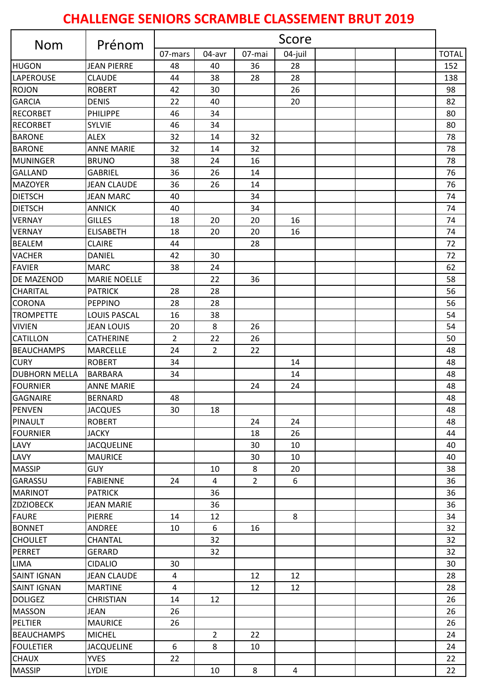## **CHALLENGE SENIORS SCRAMBLE CLASSEMENT BRUT 2019**

| <b>Nom</b>                       | Prénom              | Score          |                |                |                |  |  |  |              |
|----------------------------------|---------------------|----------------|----------------|----------------|----------------|--|--|--|--------------|
|                                  |                     | 07-mars        | 04-avr         | 07-mai         | 04-juil        |  |  |  | <b>TOTAL</b> |
| <b>HUGON</b>                     | <b>JEAN PIERRE</b>  | 48             | 40             | 36             | 28             |  |  |  | 152          |
| <b>LAPEROUSE</b>                 | <b>CLAUDE</b>       | 44             | 38             | 28             | 28             |  |  |  | 138          |
| <b>ROJON</b>                     | <b>ROBERT</b>       | 42             | 30             |                | 26             |  |  |  | 98           |
| <b>GARCIA</b>                    | <b>DENIS</b>        | 22             | 40             |                | 20             |  |  |  | 82           |
| <b>RECORBET</b>                  | <b>PHILIPPE</b>     | 46             | 34             |                |                |  |  |  | 80           |
| <b>RECORBET</b>                  | <b>SYLVIE</b>       | 46             | 34             |                |                |  |  |  | 80           |
| <b>BARONE</b>                    | <b>ALEX</b>         | 32             | 14             | 32             |                |  |  |  | 78           |
| <b>BARONE</b>                    | <b>ANNE MARIE</b>   | 32             | 14             | 32             |                |  |  |  | 78           |
| <b>MUNINGER</b>                  | <b>BRUNO</b>        | 38             | 24             | 16             |                |  |  |  | 78           |
| <b>GALLAND</b>                   | <b>GABRIEL</b>      | 36             | 26             | 14             |                |  |  |  | 76           |
| <b>MAZOYER</b>                   | <b>JEAN CLAUDE</b>  | 36             | 26             | 14             |                |  |  |  | 76           |
| <b>DIETSCH</b>                   | <b>JEAN MARC</b>    | 40             |                | 34             |                |  |  |  | 74           |
| <b>DIETSCH</b>                   | <b>ANNICK</b>       | 40             |                | 34             |                |  |  |  | 74           |
| <b>VERNAY</b>                    | <b>GILLES</b>       | 18             | 20             | 20             | 16             |  |  |  | 74           |
| <b>VERNAY</b>                    | <b>ELISABETH</b>    | 18             | 20             | 20             | 16             |  |  |  | 74           |
| <b>BEALEM</b>                    | <b>CLAIRE</b>       | 44             |                | 28             |                |  |  |  | 72           |
| <b>VACHER</b>                    | <b>DANIEL</b>       | 42             | 30             |                |                |  |  |  | 72           |
| <b>FAVIER</b>                    | <b>MARC</b>         | 38             | 24             |                |                |  |  |  | 62           |
| <b>DE MAZENOD</b>                | <b>MARIE NOELLE</b> |                | 22             | 36             |                |  |  |  | 58           |
| <b>CHARITAL</b>                  | <b>PATRICK</b>      | 28             | 28             |                |                |  |  |  | 56           |
| <b>CORONA</b>                    | <b>PEPPINO</b>      | 28             | 28             |                |                |  |  |  | 56           |
| <b>TROMPETTE</b>                 | <b>LOUIS PASCAL</b> | 16             | 38             |                |                |  |  |  | 54           |
| <b>VIVIEN</b>                    | <b>JEAN LOUIS</b>   | 20             | 8              | 26             |                |  |  |  | 54           |
| <b>CATILLON</b>                  | <b>CATHERINE</b>    | $\overline{2}$ | 22             | 26             |                |  |  |  | 50           |
| <b>BEAUCHAMPS</b>                | <b>MARCELLE</b>     | 24             | $\overline{2}$ | 22             |                |  |  |  | 48           |
| <b>CURY</b>                      | <b>ROBERT</b>       | 34             |                |                | 14             |  |  |  | 48           |
| <b>DUBHORN MELLA</b>             | <b>BARBARA</b>      | 34             |                |                | 14             |  |  |  | 48           |
| <b>FOURNIER</b>                  | <b>ANNE MARIE</b>   |                |                | 24             | 24             |  |  |  | 48           |
|                                  | <b>BERNARD</b>      | 48             |                |                |                |  |  |  | 48           |
| <b>GAGNAIRE</b><br><b>PENVEN</b> | <b>JACQUES</b>      | 30             | 18             |                |                |  |  |  | 48           |
| PINAULT                          | <b>ROBERT</b>       |                |                |                |                |  |  |  |              |
| <b>FOURNIER</b>                  | <b>JACKY</b>        |                |                | 24<br>18       | 24<br>26       |  |  |  | 48<br>44     |
|                                  |                     |                |                |                |                |  |  |  |              |
| LAVY                             | <b>JACQUELINE</b>   |                |                | 30             | 10             |  |  |  | 40           |
| LAVY                             | <b>MAURICE</b>      |                |                | 30             | 10             |  |  |  | 40           |
| <b>MASSIP</b>                    | <b>GUY</b>          |                | 10             | 8              | 20             |  |  |  | 38           |
| <b>GARASSU</b>                   | <b>FABIENNE</b>     | 24             | 4              | $\overline{2}$ | 6              |  |  |  | 36           |
| <b>MARINOT</b>                   | <b>PATRICK</b>      |                | 36             |                |                |  |  |  | 36           |
| <b>ZDZIOBECK</b>                 | <b>JEAN MARIE</b>   |                | 36             |                |                |  |  |  | 36           |
| <b>FAURE</b>                     | PIERRE              | 14             | 12             |                | 8              |  |  |  | 34           |
| <b>BONNET</b>                    | <b>ANDREE</b>       | 10             | 6              | 16             |                |  |  |  | 32           |
| <b>CHOULET</b>                   | <b>CHANTAL</b>      |                | 32             |                |                |  |  |  | 32           |
| PERRET                           | <b>GERARD</b>       |                | 32             |                |                |  |  |  | 32           |
| LIMA                             | <b>CIDALIO</b>      | 30             |                |                |                |  |  |  | 30           |
| <b>SAINT IGNAN</b>               | <b>JEAN CLAUDE</b>  | $\overline{4}$ |                | 12             | 12             |  |  |  | 28           |
| <b>SAINT IGNAN</b>               | <b>MARTINE</b>      | $\overline{a}$ |                | 12             | 12             |  |  |  | 28           |
| <b>DOLIGEZ</b>                   | <b>CHRISTIAN</b>    | 14             | 12             |                |                |  |  |  | 26           |
| <b>MASSON</b>                    | <b>JEAN</b>         | 26             |                |                |                |  |  |  | 26           |
| PELTIER                          | <b>MAURICE</b>      | 26             |                |                |                |  |  |  | 26           |
| <b>BEAUCHAMPS</b>                | <b>MICHEL</b>       |                | $\overline{2}$ | 22             |                |  |  |  | 24           |
| <b>FOULETIER</b>                 | <b>JACQUELINE</b>   | 6              | 8              | 10             |                |  |  |  | 24           |
| <b>CHAUX</b>                     | <b>YVES</b>         | 22             |                |                |                |  |  |  | 22           |
| <b>MASSIP</b>                    | <b>LYDIE</b>        |                | 10             | 8              | $\overline{4}$ |  |  |  | 22           |